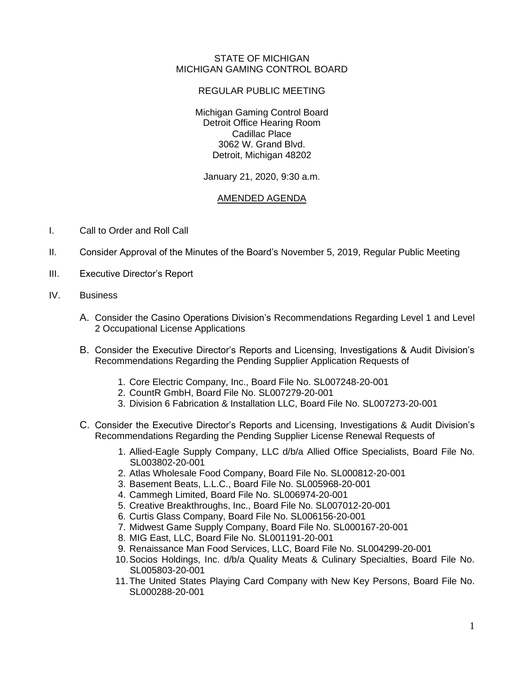## STATE OF MICHIGAN MICHIGAN GAMING CONTROL BOARD

## REGULAR PUBLIC MEETING

Michigan Gaming Control Board Detroit Office Hearing Room Cadillac Place 3062 W. Grand Blvd. Detroit, Michigan 48202

January 21, 2020, 9:30 a.m.

## AMENDED AGENDA

- I. Call to Order and Roll Call
- II. Consider Approval of the Minutes of the Board's November 5, 2019, Regular Public Meeting
- III. Executive Director's Report
- IV. Business
	- A. Consider the Casino Operations Division's Recommendations Regarding Level 1 and Level 2 Occupational License Applications
	- B. Consider the Executive Director's Reports and Licensing, Investigations & Audit Division's Recommendations Regarding the Pending Supplier Application Requests of
		- 1. Core Electric Company, Inc., Board File No. SL007248-20-001
		- 2. CountR GmbH, Board File No. SL007279-20-001
		- 3. Division 6 Fabrication & Installation LLC, Board File No. SL007273-20-001
	- C. Consider the Executive Director's Reports and Licensing, Investigations & Audit Division's Recommendations Regarding the Pending Supplier License Renewal Requests of
		- 1. Allied-Eagle Supply Company, LLC d/b/a Allied Office Specialists, Board File No. SL003802-20-001
		- 2. Atlas Wholesale Food Company, Board File No. SL000812-20-001
		- 3. Basement Beats, L.L.C., Board File No. SL005968-20-001
		- 4. Cammegh Limited, Board File No. SL006974-20-001
		- 5. Creative Breakthroughs, Inc., Board File No. SL007012-20-001
		- 6. Curtis Glass Company, Board File No. SL006156-20-001
		- 7. Midwest Game Supply Company, Board File No. SL000167-20-001
		- 8. MIG East, LLC, Board File No. SL001191-20-001
		- 9. Renaissance Man Food Services, LLC, Board File No. SL004299-20-001
		- 10.Socios Holdings, Inc. d/b/a Quality Meats & Culinary Specialties, Board File No. SL005803-20-001
		- 11.The United States Playing Card Company with New Key Persons, Board File No. SL000288-20-001